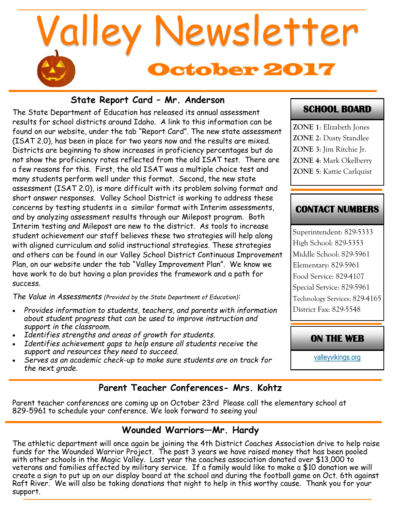

## **State Report Card – Mr. Anderson**

The State Department of Education has released its annual assessment results for school districts around Idaho. A link to this information can be found on our website, under the tab "Report Card". The new state assessment (ISAT 2.0), has been in place for two years now and the results are mixed. Districts are beginning to show increases in proficiency percentages but do not show the proficiency rates reflected from the old ISAT test. There are a few reasons for this. First, the old ISAT was a multiple choice test and many students perform well under this format. Second, the new state assessment (ISAT 2.0), is more difficult with its problem solving format and short answer responses. Valley School District is working to address these concerns by testing students in a similar format with Interim assessments, and by analyzing assessment results through our Milepost program. Both Interim testing and Milepost are new to the district. As tools to increase student achievement our staff believes these two strategies will help along with aligned curriculum and solid instructional strategies. These strategies and others can be found in our Valley School District Continuous Improvement Plan, on our website under the tab "Valley Improvement Plan". We know we have work to do but having a plan provides the framework and a path for success.

*The Value in Assessments (Provided by the State Department of Education):*

- *Provides information to students, teachers, and parents with information about student progress that can be used to improve instruction and support in the classroom.*
- *Identifies strengths and areas of growth for students.*
- *Identifies achievement gaps to help ensure all students receive the support and resources they need to succeed.*
- *Serves as an academic check-up to make sure students are on track for the next grade.*

# **Parent Teacher Conferences- Mrs. Kohtz**

Parent teacher conferences are coming up on October 23rd Please call the elementary school at 829-5961 to schedule your conference. We look forward to seeing you!

## **Wounded Warriors—Mr. Hardy**

The athletic department will once again be joining the 4th District Coaches Association drive to help raise funds for the Wounded Warrior Project. The past 3 years we have raised money that has been pooled with other schools in the Magic Valley. Last year the coaches association donated over \$13,000 to veterans and families affected by military service. If a family would like to make a \$10 donation we will create a sign to put up on our display board at the school and during the football game on Oct. 6th against Raft River. We will also be taking donations that night to help in this worthy cause. Thank you for your support.

# **SCHOOL BOARD**

**ZONE 1**: Elizabeth Jones **ZONE 2**: Dusty Standlee **ZONE 3**: Jim Ritchie Jr. **ZONE 4**: Mark Okelberry **ZONE 5**: Kattie Carlquist

# **CONTACT NUMBERS**

Superintendent: 829-5333 High School: 829-5353 Middle School: 829-5961 Elementary: 829-5961 Food Service: 829-4107 Special Service: 829-5961 Technology Services: 829-4165 District Fax: 829-5548

## **ON THE WEB**

[valleyvikings.org](http://www.valleyvikings.org/)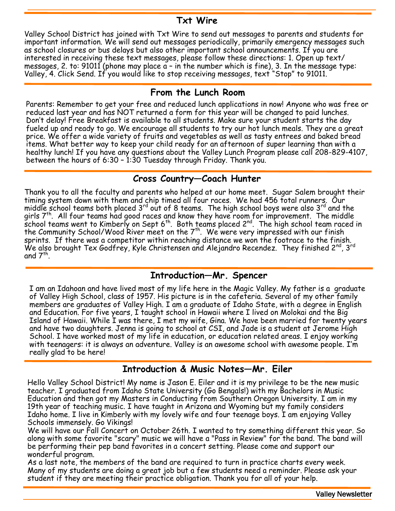## **Txt Wire**

Valley School District has joined with Txt Wire to send out messages to parents and students for important information. We will send out messages periodically, primarily emergency messages such as school closures or bus delays but also other important school announcements. If you are interested in receiving these text messages, please follow these directions: 1. Open up text/ messages, 2. to: 91011 (phone may place a – in the number which is fine), 3. In the message type: Valley, 4. Click Send. If you would like to stop receiving messages, text "Stop" to 91011.

## **From the Lunch Room**

Parents: Remember to get your free and reduced lunch applications in now! Anyone who was free or reduced last year and has NOT returned a form for this year will be changed to paid lunches. Don't delay! Free Breakfast is available to all students. Make sure your student starts the day fueled up and ready to go. We encourage all students to try our hot lunch meals. They are a great price. We offer a wide variety of fruits and vegetables as well as tasty entrees and baked bread items. What better way to keep your child ready for an afternoon of super learning than with a healthy lunch! If you have any questions about the Valley Lunch Program please call 208-829-4107, between the hours of 6:30 – 1:30 Tuesday through Friday. Thank you.

## **Cross Country—Coach Hunter**

Thank you to all the faculty and parents who helped at our home meet. Sugar Salem brought their timing system down with them and chip timed all four races. We had 456 total runners. Our middle school teams both placed  $3^{rd}$  out of 8 teams. The high school boys were also  $3^{rd}$  and the girls  $7<sup>th</sup>$ . All four teams had good races and know they have room for improvement. The middle school teams went to Kimberly on Sept 6<sup>th</sup>. Both teams placed  $2^{nd}$ . The high school team raced in the Community School/Wood River meet on the 7th. We were very impressed with our finish sprints. If there was a competitor within reaching distance we won the footrace to the finish. We also brought Tex Godfrey, Kyle Christensen and Alejandro Recendez. They finished 2<sup>nd</sup>, 3<sup>rd</sup> and  $7^{\text{th}}$ .

#### **Introduction—Mr. Spencer**

I am an Idahoan and have lived most of my life here in the Magic Valley. My father is a graduate of Valley High School, class of 1957. His picture is in the cafeteria. Several of my other family members are graduates of Valley High. I am a graduate of Idaho State, with a degree in English and Education. For five years, I taught school in Hawaii where I lived on Molokai and the Big Island of Hawaii. While I was there, I met my wife, Gina. We have been married for twenty years and have two daughters. Jenna is going to school at CSI, and Jade is a student at Jerome High School. I have worked most of my life in education, or education related areas. I enjoy working with teenagers: it is always an adventure. Valley is an awesome school with awesome people. I'm really glad to be here!

#### **Introduction & Music Notes—Mr. Eiler**

Hello Valley School District! My name is Jason E. Eiler and it is my privilege to be the new music teacher. I graduated from Idaho State University (Go Bengals!) with my Bachelors in Music Education and then got my Masters in Conducting from Southern Oregon University. I am in my 19th year of teaching music. I have taught in Arizona and Wyoming but my family considers Idaho home. I live in Kimberly with my lovely wife and four teenage boys. I am enjoying Valley Schools immensely. Go Vikings!

We will have our Fall Concert on October 26th. I wanted to try something different this year. So along with some favorite "scary" music we will have a "Pass in Review" for the band. The band will be performing their pep band favorites in a concert setting. Please come and support our wonderful program.

As a last note, the members of the band are required to turn in practice charts every week. Many of my students are doing a great job but a few students need a reminder. Please ask your student if they are meeting their practice obligation. Thank you for all of your help.